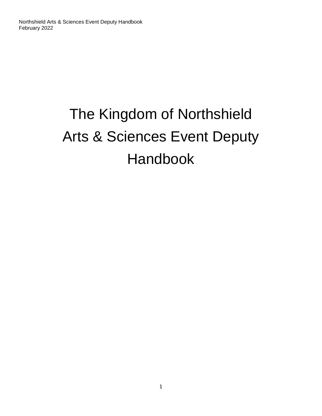# The Kingdom of Northshield Arts & Sciences Event Deputy Handbook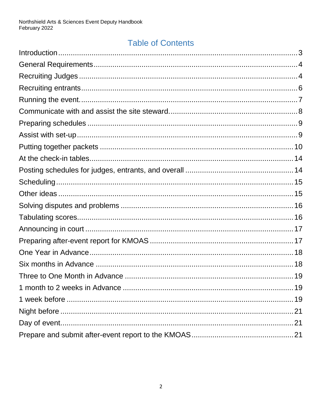#### **Table of Contents**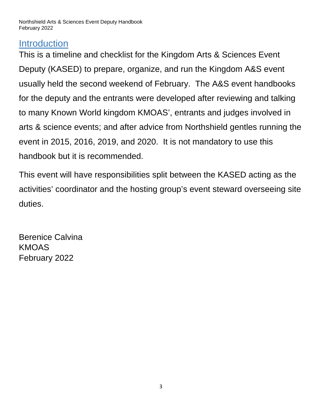#### <span id="page-2-0"></span>**Introduction**

This is a timeline and checklist for the Kingdom Arts & Sciences Event Deputy (KASED) to prepare, organize, and run the Kingdom A&S event usually held the second weekend of February. The A&S event handbooks for the deputy and the entrants were developed after reviewing and talking to many Known World kingdom KMOAS', entrants and judges involved in arts & science events; and after advice from Northshield gentles running the event in 2015, 2016, 2019, and 2020. It is not mandatory to use this handbook but it is recommended.

This event will have responsibilities split between the KASED acting as the activities' coordinator and the hosting group's event steward overseeing site duties.

Berenice Calvina KMOAS February 2022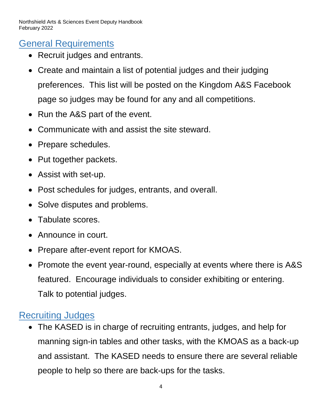#### <span id="page-3-0"></span>General Requirements

- Recruit judges and entrants.
- Create and maintain a list of potential judges and their judging preferences. This list will be posted on the Kingdom A&S Facebook page so judges may be found for any and all competitions.
- Run the A&S part of the event.
- Communicate with and assist the site steward.
- Prepare schedules.
- Put together packets.
- Assist with set-up.
- Post schedules for judges, entrants, and overall.
- Solve disputes and problems.
- Tabulate scores.
- Announce in court.
- Prepare after-event report for KMOAS.
- Promote the event year-round, especially at events where there is A&S featured. Encourage individuals to consider exhibiting or entering. Talk to potential judges.

#### <span id="page-3-1"></span>Recruiting Judges

 The KASED is in charge of recruiting entrants, judges, and help for manning sign-in tables and other tasks, with the KMOAS as a back-up and assistant. The KASED needs to ensure there are several reliable people to help so there are back-ups for the tasks.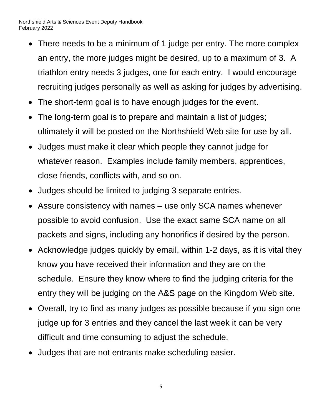- There needs to be a minimum of 1 judge per entry. The more complex an entry, the more judges might be desired, up to a maximum of 3. A triathlon entry needs 3 judges, one for each entry. I would encourage recruiting judges personally as well as asking for judges by advertising.
- The short-term goal is to have enough judges for the event.
- The long-term goal is to prepare and maintain a list of judges; ultimately it will be posted on the Northshield Web site for use by all.
- Judges must make it clear which people they cannot judge for whatever reason. Examples include family members, apprentices, close friends, conflicts with, and so on.
- Judges should be limited to judging 3 separate entries.
- Assure consistency with names use only SCA names whenever possible to avoid confusion. Use the exact same SCA name on all packets and signs, including any honorifics if desired by the person.
- Acknowledge judges quickly by email, within 1-2 days, as it is vital they know you have received their information and they are on the schedule. Ensure they know where to find the judging criteria for the entry they will be judging on the A&S page on the Kingdom Web site.
- Overall, try to find as many judges as possible because if you sign one judge up for 3 entries and they cancel the last week it can be very difficult and time consuming to adjust the schedule.
- Judges that are not entrants make scheduling easier.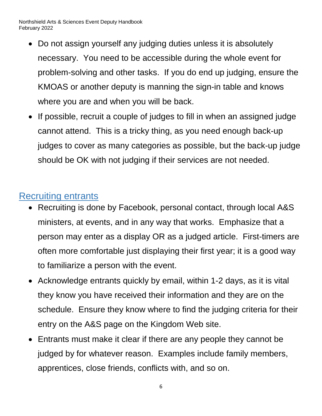- Do not assign yourself any judging duties unless it is absolutely necessary. You need to be accessible during the whole event for problem-solving and other tasks. If you do end up judging, ensure the KMOAS or another deputy is manning the sign-in table and knows where you are and when you will be back.
- If possible, recruit a couple of judges to fill in when an assigned judge cannot attend. This is a tricky thing, as you need enough back-up judges to cover as many categories as possible, but the back-up judge should be OK with not judging if their services are not needed.

#### <span id="page-5-0"></span>Recruiting entrants

- Recruiting is done by Facebook, personal contact, through local A&S ministers, at events, and in any way that works. Emphasize that a person may enter as a display OR as a judged article. First-timers are often more comfortable just displaying their first year; it is a good way to familiarize a person with the event.
- Acknowledge entrants quickly by email, within 1-2 days, as it is vital they know you have received their information and they are on the schedule. Ensure they know where to find the judging criteria for their entry on the A&S page on the Kingdom Web site.
- Entrants must make it clear if there are any people they cannot be judged by for whatever reason. Examples include family members, apprentices, close friends, conflicts with, and so on.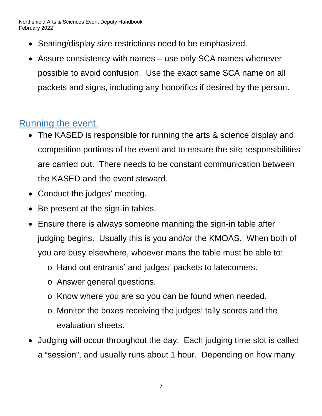- Seating/display size restrictions need to be emphasized.
- Assure consistency with names use only SCA names whenever possible to avoid confusion. Use the exact same SCA name on all packets and signs, including any honorifics if desired by the person.

#### <span id="page-6-0"></span>Running the event.

- The KASED is responsible for running the arts & science display and competition portions of the event and to ensure the site responsibilities are carried out. There needs to be constant communication between the KASED and the event steward.
- Conduct the judges' meeting.
- Be present at the sign-in tables.
- Ensure there is always someone manning the sign-in table after judging begins. Usually this is you and/or the KMOAS. When both of you are busy elsewhere, whoever mans the table must be able to:
	- o Hand out entrants' and judges' packets to latecomers.
	- o Answer general questions.
	- o Know where you are so you can be found when needed.
	- o Monitor the boxes receiving the judges' tally scores and the evaluation sheets.
- Judging will occur throughout the day. Each judging time slot is called a "session", and usually runs about 1 hour. Depending on how many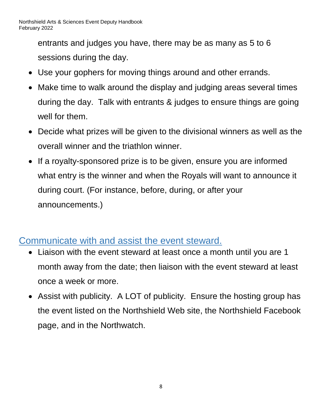entrants and judges you have, there may be as many as 5 to 6 sessions during the day.

- Use your gophers for moving things around and other errands.
- Make time to walk around the display and judging areas several times during the day. Talk with entrants & judges to ensure things are going well for them.
- Decide what prizes will be given to the divisional winners as well as the overall winner and the triathlon winner.
- If a royalty-sponsored prize is to be given, ensure you are informed what entry is the winner and when the Royals will want to announce it during court. (For instance, before, during, or after your announcements.)

#### <span id="page-7-0"></span>Communicate with and assist the event steward.

- Liaison with the event steward at least once a month until you are 1 month away from the date; then liaison with the event steward at least once a week or more.
- Assist with publicity. A LOT of publicity. Ensure the hosting group has the event listed on the Northshield Web site, the Northshield Facebook page, and in the Northwatch.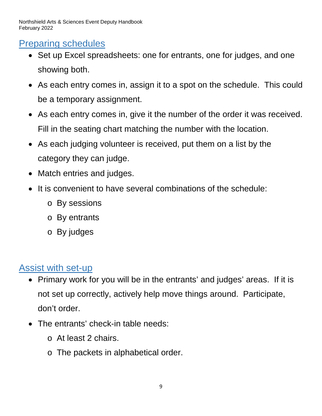## <span id="page-8-0"></span>Preparing schedules

- Set up Excel spreadsheets: one for entrants, one for judges, and one showing both.
- As each entry comes in, assign it to a spot on the schedule. This could be a temporary assignment.
- As each entry comes in, give it the number of the order it was received. Fill in the seating chart matching the number with the location.
- As each judging volunteer is received, put them on a list by the category they can judge.
- Match entries and judges.
- It is convenient to have several combinations of the schedule:
	- o By sessions
	- o By entrants
	- o By judges

# <span id="page-8-1"></span>Assist with set-up

- Primary work for you will be in the entrants' and judges' areas. If it is not set up correctly, actively help move things around. Participate, don't order.
- The entrants' check-in table needs:
	- o At least 2 chairs.
	- o The packets in alphabetical order.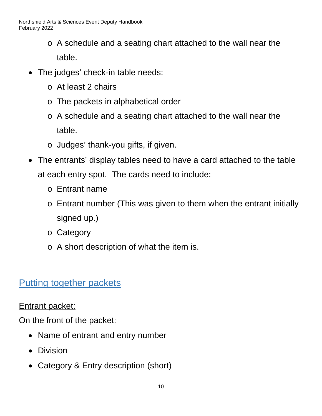- o A schedule and a seating chart attached to the wall near the table.
- The judges' check-in table needs:
	- o At least 2 chairs
	- o The packets in alphabetical order
	- o A schedule and a seating chart attached to the wall near the table.
	- o Judges' thank-you gifts, if given.
- The entrants' display tables need to have a card attached to the table at each entry spot. The cards need to include:
	- o Entrant name
	- o Entrant number (This was given to them when the entrant initially signed up.)
	- o Category
	- o A short description of what the item is.

## <span id="page-9-0"></span>Putting together packets

#### Entrant packet:

On the front of the packet:

- Name of entrant and entry number
- Division
- Category & Entry description (short)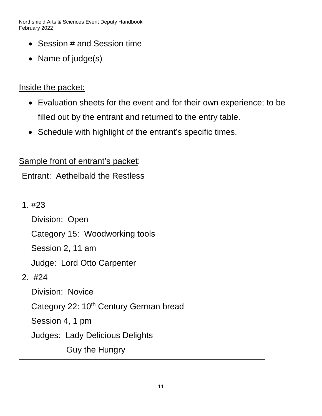- Session # and Session time
- Name of judge(s)

#### Inside the packet:

- Evaluation sheets for the event and for their own experience; to be filled out by the entrant and returned to the entry table.
- Schedule with highlight of the entrant's specific times.

#### Sample front of entrant's packet:

| Entrant: Aethelbald the Restless                   |
|----------------------------------------------------|
| 1. #23                                             |
| Division: Open                                     |
| Category 15: Woodworking tools                     |
| Session 2, 11 am                                   |
| Judge: Lord Otto Carpenter                         |
| $2.$ #24                                           |
| <b>Division: Novice</b>                            |
| Category 22: 10 <sup>th</sup> Century German bread |
| Session 4, 1 pm                                    |
| <b>Judges: Lady Delicious Delights</b>             |
| Guy the Hungry                                     |
|                                                    |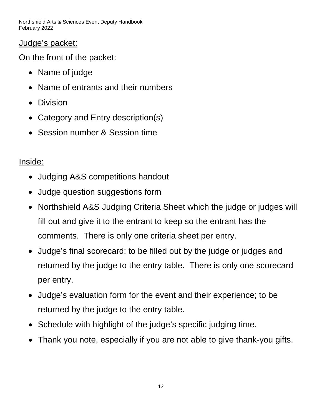Judge's packet:

On the front of the packet:

- Name of judge
- Name of entrants and their numbers
- Division
- Category and Entry description(s)
- Session number & Session time

#### Inside:

- Judging A&S competitions handout
- Judge question suggestions form
- Northshield A&S Judging Criteria Sheet which the judge or judges will fill out and give it to the entrant to keep so the entrant has the comments. There is only one criteria sheet per entry.
- Judge's final scorecard: to be filled out by the judge or judges and returned by the judge to the entry table. There is only one scorecard per entry.
- Judge's evaluation form for the event and their experience; to be returned by the judge to the entry table.
- Schedule with highlight of the judge's specific judging time.
- Thank you note, especially if you are not able to give thank-you gifts.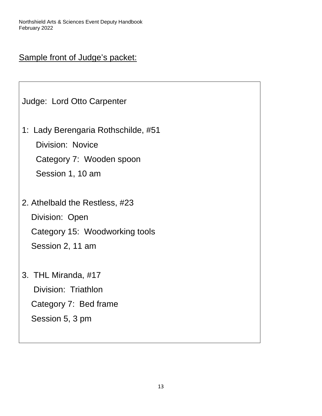#### Sample front of Judge's packet:

Judge: Lord Otto Carpenter

1: Lady Berengaria Rothschilde, #51 Division: Novice Category 7: Wooden spoon

Session 1, 10 am

- 2. Athelbald the Restless, #23 Division: Open Category 15: Woodworking tools Session 2, 11 am
- 3. THL Miranda, #17 Division: Triathlon Category 7: Bed frame Session 5, 3 pm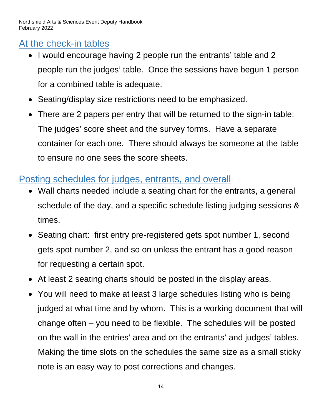# <span id="page-13-0"></span>At the check-in tables

- I would encourage having 2 people run the entrants' table and 2 people run the judges' table. Once the sessions have begun 1 person for a combined table is adequate.
- Seating/display size restrictions need to be emphasized.
- There are 2 papers per entry that will be returned to the sign-in table: The judges' score sheet and the survey forms. Have a separate container for each one. There should always be someone at the table to ensure no one sees the score sheets.

## <span id="page-13-1"></span>Posting schedules for judges, entrants, and overall

- Wall charts needed include a seating chart for the entrants, a general schedule of the day, and a specific schedule listing judging sessions & times.
- Seating chart: first entry pre-registered gets spot number 1, second gets spot number 2, and so on unless the entrant has a good reason for requesting a certain spot.
- At least 2 seating charts should be posted in the display areas.
- You will need to make at least 3 large schedules listing who is being judged at what time and by whom. This is a working document that will change often – you need to be flexible. The schedules will be posted on the wall in the entries' area and on the entrants' and judges' tables. Making the time slots on the schedules the same size as a small sticky note is an easy way to post corrections and changes.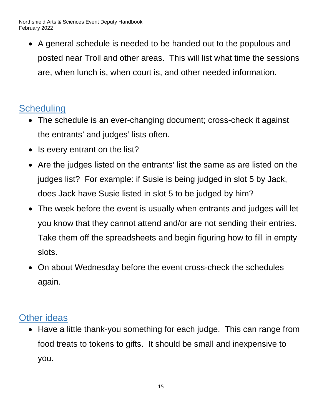A general schedule is needed to be handed out to the populous and posted near Troll and other areas. This will list what time the sessions are, when lunch is, when court is, and other needed information.

# <span id="page-14-0"></span>**Scheduling**

- The schedule is an ever-changing document; cross-check it against the entrants' and judges' lists often.
- Is every entrant on the list?
- Are the judges listed on the entrants' list the same as are listed on the judges list? For example: if Susie is being judged in slot 5 by Jack, does Jack have Susie listed in slot 5 to be judged by him?
- The week before the event is usually when entrants and judges will let you know that they cannot attend and/or are not sending their entries. Take them off the spreadsheets and begin figuring how to fill in empty slots.
- On about Wednesday before the event cross-check the schedules again.

## <span id="page-14-1"></span>Other ideas

• Have a little thank-you something for each judge. This can range from food treats to tokens to gifts. It should be small and inexpensive to you.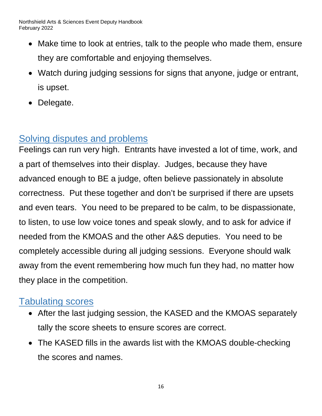- Make time to look at entries, talk to the people who made them, ensure they are comfortable and enjoying themselves.
- Watch during judging sessions for signs that anyone, judge or entrant, is upset.
- Delegate.

## <span id="page-15-0"></span>Solving disputes and problems

Feelings can run very high. Entrants have invested a lot of time, work, and a part of themselves into their display. Judges, because they have advanced enough to BE a judge, often believe passionately in absolute correctness. Put these together and don't be surprised if there are upsets and even tears. You need to be prepared to be calm, to be dispassionate, to listen, to use low voice tones and speak slowly, and to ask for advice if needed from the KMOAS and the other A&S deputies. You need to be completely accessible during all judging sessions. Everyone should walk away from the event remembering how much fun they had, no matter how they place in the competition.

## <span id="page-15-1"></span>Tabulating scores

- After the last judging session, the KASED and the KMOAS separately tally the score sheets to ensure scores are correct.
- The KASED fills in the awards list with the KMOAS double-checking the scores and names.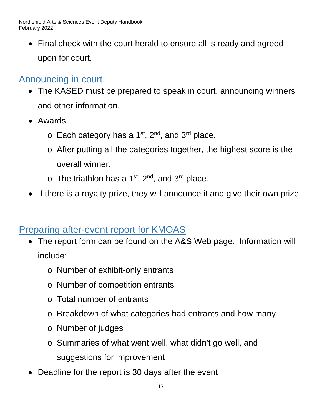• Final check with the court herald to ensure all is ready and agreed upon for court.

## <span id="page-16-0"></span>Announcing in court

- The KASED must be prepared to speak in court, announcing winners and other information.
- Awards
	- $\circ$  Each category has a 1<sup>st</sup>, 2<sup>nd</sup>, and 3<sup>rd</sup> place.
	- o After putting all the categories together, the highest score is the overall winner.
	- $\circ$  The triathlon has a 1<sup>st</sup>, 2<sup>nd</sup>, and 3<sup>rd</sup> place.
- If there is a royalty prize, they will announce it and give their own prize.

#### <span id="page-16-1"></span>Preparing after-event report for KMOAS

- The report form can be found on the A&S Web page. Information will include:
	- o Number of exhibit-only entrants
	- o Number of competition entrants
	- o Total number of entrants
	- o Breakdown of what categories had entrants and how many
	- o Number of judges
	- o Summaries of what went well, what didn't go well, and suggestions for improvement
- Deadline for the report is 30 days after the event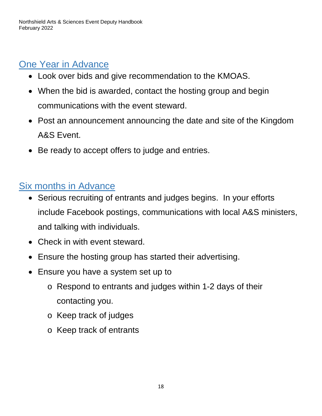# <span id="page-17-0"></span>One Year in Advance

- Look over bids and give recommendation to the KMOAS.
- When the bid is awarded, contact the hosting group and begin communications with the event steward.
- Post an announcement announcing the date and site of the Kingdom A&S Event.
- Be ready to accept offers to judge and entries.

## <span id="page-17-1"></span>Six months in Advance

- Serious recruiting of entrants and judges begins. In your efforts include Facebook postings, communications with local A&S ministers, and talking with individuals.
- Check in with event steward.
- Ensure the hosting group has started their advertising.
- Ensure you have a system set up to
	- o Respond to entrants and judges within 1-2 days of their contacting you.
	- o Keep track of judges
	- o Keep track of entrants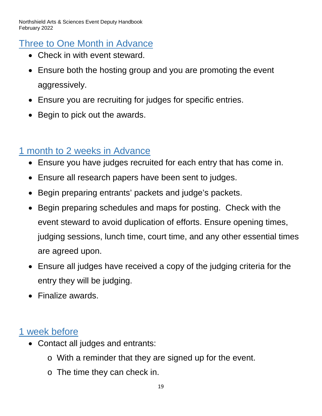## <span id="page-18-0"></span>Three to One Month in Advance

- Check in with event steward.
- Ensure both the hosting group and you are promoting the event aggressively.
- Ensure you are recruiting for judges for specific entries.
- Begin to pick out the awards.

## <span id="page-18-1"></span>1 month to 2 weeks in Advance

- Ensure you have judges recruited for each entry that has come in.
- Ensure all research papers have been sent to judges.
- Begin preparing entrants' packets and judge's packets.
- Begin preparing schedules and maps for posting. Check with the event steward to avoid duplication of efforts. Ensure opening times, judging sessions, lunch time, court time, and any other essential times are agreed upon.
- Ensure all judges have received a copy of the judging criteria for the entry they will be judging.
- Finalize awards.

## <span id="page-18-2"></span>1 week before

- Contact all judges and entrants:
	- o With a reminder that they are signed up for the event.
	- o The time they can check in.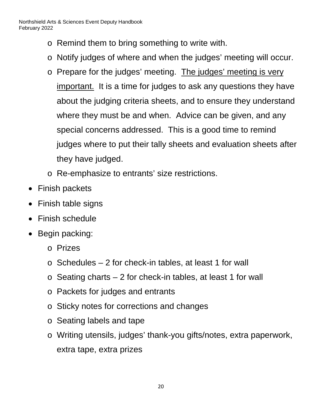- o Remind them to bring something to write with.
- o Notify judges of where and when the judges' meeting will occur.
- o Prepare for the judges' meeting. The judges' meeting is very important. It is a time for judges to ask any questions they have about the judging criteria sheets, and to ensure they understand where they must be and when. Advice can be given, and any special concerns addressed. This is a good time to remind judges where to put their tally sheets and evaluation sheets after they have judged.
- o Re-emphasize to entrants' size restrictions.
- Finish packets
- Finish table signs
- Finish schedule
- Begin packing:
	- o Prizes
	- $\circ$  Schedules 2 for check-in tables, at least 1 for wall
	- $\circ$  Seating charts 2 for check-in tables, at least 1 for wall
	- o Packets for judges and entrants
	- o Sticky notes for corrections and changes
	- o Seating labels and tape
	- o Writing utensils, judges' thank-you gifts/notes, extra paperwork, extra tape, extra prizes